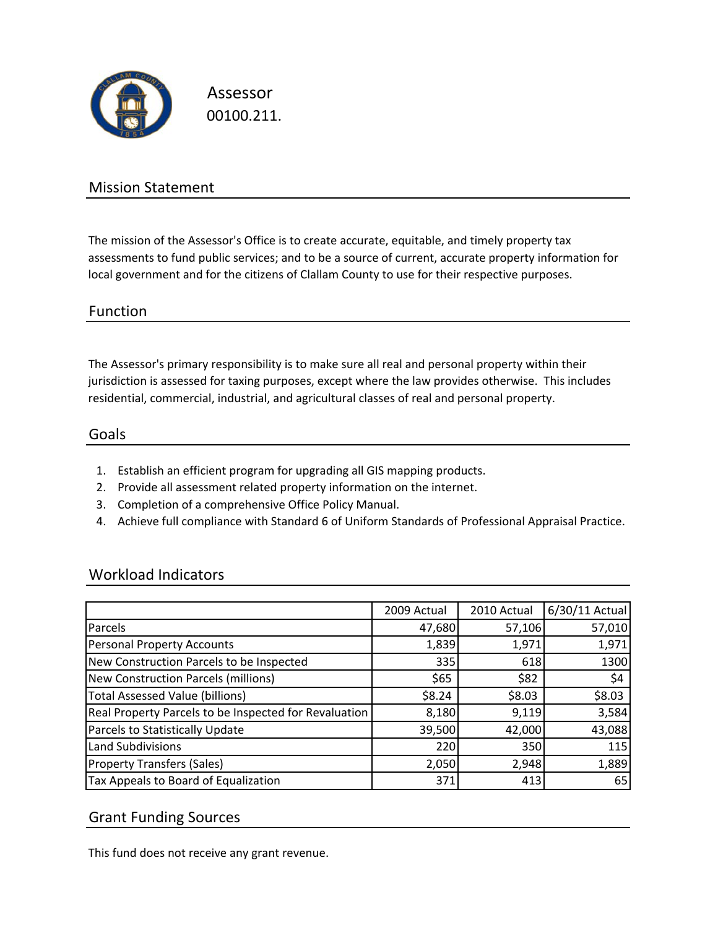

Assessor 00100.211.

## Mission Statement

The mission of the Assessor's Office is to create accurate, equitable, and timely property tax assessments to fund public services; and to be a source of current, accurate property information for local government and for the citizens of Clallam County to use for their respective purposes.

### Function

The Assessor's primary responsibility is to make sure all real and personal property within their jurisdiction is assessed for taxing purposes, except where the law provides otherwise. This includes residential, commercial, industrial, and agricultural classes of real and personal property.

#### Goals

- 1. Establish an efficient program for upgrading all GIS mapping products.
- 2. Provide all assessment related property information on the internet.
- 3. Completion of a comprehensive Office Policy Manual.
- 4. Achieve full compliance with Standard 6 of Uniform Standards of Professional Appraisal Practice.

### Workload Indicators

|                                                       | 2009 Actual | 2010 Actual | 6/30/11 Actual |
|-------------------------------------------------------|-------------|-------------|----------------|
| Parcels                                               | 47,680      | 57,106      | 57,010         |
| <b>Personal Property Accounts</b>                     | 1,839       | 1,971       | 1,971          |
| New Construction Parcels to be Inspected              | 335         | 618         | 1300           |
| New Construction Parcels (millions)                   | \$65        | \$82        | \$4            |
| <b>Total Assessed Value (billions)</b>                | \$8.24      | \$8.03      | \$8.03         |
| Real Property Parcels to be Inspected for Revaluation | 8,180       | 9,119       | 3,584          |
| Parcels to Statistically Update                       | 39,500      | 42,000      | 43,088         |
| Land Subdivisions                                     | 220         | 350         | 115            |
| <b>Property Transfers (Sales)</b>                     | 2,050       | 2,948       | 1,889          |
| Tax Appeals to Board of Equalization                  | 371         | 413         | 65             |

### Grant Funding Sources

This fund does not receive any grant revenue.